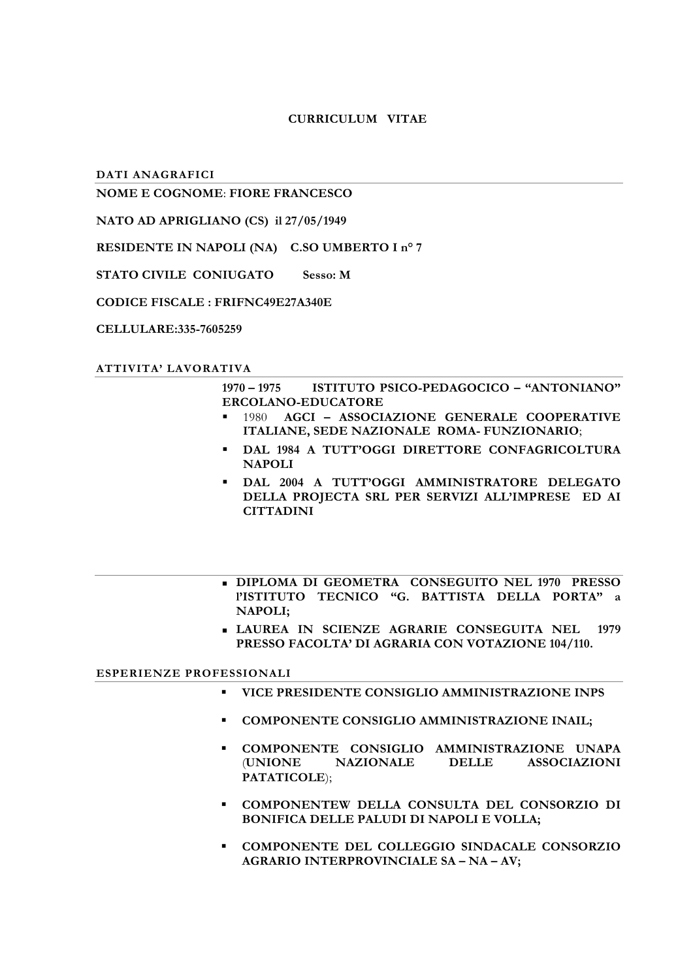# **CURRICULUM VITAE**

DATI ANAGRAFICI

# **NOME E COGNOME: FIORE FRANCESCO**

NATO AD APRIGLIANO (CS) il 27/05/1949

RESIDENTE IN NAPOLI (NA) C.SO UMBERTO I nº 7

STATO CIVILE CONIUGATO Sesso: M

## **CODICE FISCALE : FRIFNC49E27A340E**

CELLULARE:335-7605259

## ATTIVITA' LAVORATIVA

#### $1970 - 1975$ ISTITUTO PSICO-PEDAGOCICO - "ANTONIANO" ERCOLANO-EDUCATORE

- 1980 AGCI ASSOCIAZIONE GENERALE COOPERATIVE  $\blacksquare$ ITALIANE, SEDE NAZIONALE ROMA- FUNZIONARIO;
- DAL 1984 A TUTT'OGGI DIRETTORE CONFAGRICOLTURA **NAPOLI**
- . DAL 2004 A TUTT'OGGI AMMINISTRATORE DELEGATO DELLA PROJECTA SRL PER SERVIZI ALL'IMPRESE ED AI **CITTADINI**
- DIPLOMA DI GEOMETRA CONSEGUITO NEL 1970 PRESSO PISTITUTO TECNICO "G. BATTISTA DELLA PORTA" a **NAPOLI:**
- **LAUREA IN SCIENZE AGRARIE CONSEGUITA NEL 1979** PRESSO FACOLTA' DI AGRARIA CON VOTAZIONE 104/110.

## ESPERIENZE PROFESSIONALI

- " VICE PRESIDENTE CONSIGLIO AMMINISTRAZIONE INPS
- COMPONENTE CONSIGLIO AMMINISTRAZIONE INAIL:
- COMPONENTE CONSIGLIO AMMINISTRAZIONE UNAPA **(UNIONE NAZIONALE** DELLE ASSOCIAZIONI PATATICOLE);
- COMPONENTEW DELLA CONSULTA DEL CONSORZIO DI **BONIFICA DELLE PALUDI DI NAPOLI E VOLLA;**
- COMPONENTE DEL COLLEGGIO SINDACALE CONSORZIO AGRARIO INTERPROVINCIALE SA - NA - AV;